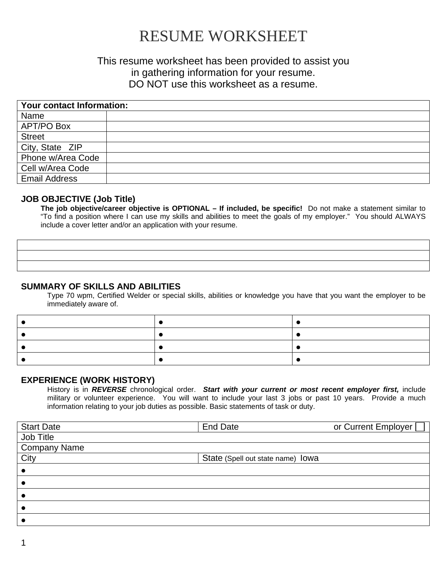# RESUME WORKSHEET

# This resume worksheet has been provided to assist you in gathering information for your resume. DO NOT use this worksheet as a resume.

| <b>Your contact Information:</b> |  |  |
|----------------------------------|--|--|
| Name                             |  |  |
| <b>APT/PO Box</b>                |  |  |
| <b>Street</b>                    |  |  |
| City, State ZIP                  |  |  |
| Phone w/Area Code                |  |  |
| Cell w/Area Code                 |  |  |
| <b>Email Address</b>             |  |  |

## **JOB OBJECTIVE (Job Title)**

**The job objective/career objective is OPTIONAL – If included, be specific!** Do not make a statement similar to "To find a position where I can use my skills and abilities to meet the goals of my employer." You should ALWAYS include a cover letter and/or an application with your resume.

### **SUMMARY OF SKILLS AND ABILITIES**

Type 70 wpm, Certified Welder or special skills, abilities or knowledge you have that you want the employer to be immediately aware of.

#### **EXPERIENCE (WORK HISTORY)**

History is in *REVERSE* chronological order. *Start with your current or most recent employer first,* include military or volunteer experience. You will want to include your last 3 jobs or past 10 years. Provide a much information relating to your job duties as possible. Basic statements of task or duty.

| <b>Start Date</b>   | <b>End Date</b>                   | or Current Employer [ |
|---------------------|-----------------------------------|-----------------------|
| Job Title           |                                   |                       |
| <b>Company Name</b> |                                   |                       |
| City                | State (Spell out state name) lowa |                       |
|                     |                                   |                       |
|                     |                                   |                       |
|                     |                                   |                       |
|                     |                                   |                       |
|                     |                                   |                       |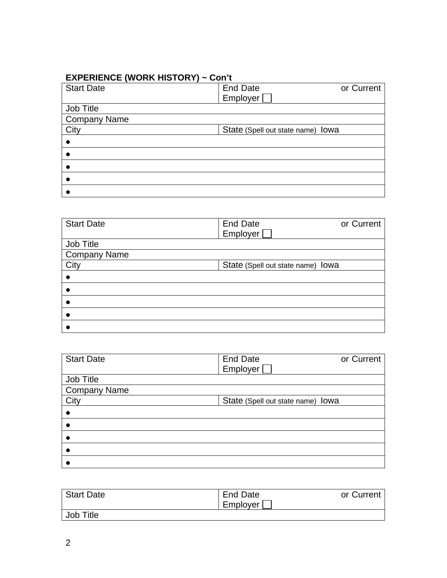# **EXPERIENCE (WORK HISTORY) ~ Con't**

| <b>Start Date</b>   | <b>End Date</b>                   | or Current |
|---------------------|-----------------------------------|------------|
|                     | Employer                          |            |
| Job Title           |                                   |            |
| <b>Company Name</b> |                                   |            |
| City                | State (Spell out state name) lowa |            |
|                     |                                   |            |
|                     |                                   |            |
|                     |                                   |            |
|                     |                                   |            |
|                     |                                   |            |

| <b>Start Date</b> | <b>End Date</b>                   | or Current |
|-------------------|-----------------------------------|------------|
|                   | Employer [                        |            |
| Job Title         |                                   |            |
| Company Name      |                                   |            |
| City              | State (Spell out state name) lowa |            |
|                   |                                   |            |
|                   |                                   |            |
|                   |                                   |            |
|                   |                                   |            |
|                   |                                   |            |

| <b>Start Date</b>   | <b>End Date</b>                   | or Current |
|---------------------|-----------------------------------|------------|
|                     | Employer [                        |            |
| Job Title           |                                   |            |
| <b>Company Name</b> |                                   |            |
| City                | State (Spell out state name) lowa |            |
|                     |                                   |            |
|                     |                                   |            |
|                     |                                   |            |
|                     |                                   |            |
|                     |                                   |            |

| <b>Start Date</b> | End Date | or Current |
|-------------------|----------|------------|
|                   | Employer |            |
| Job Title         |          |            |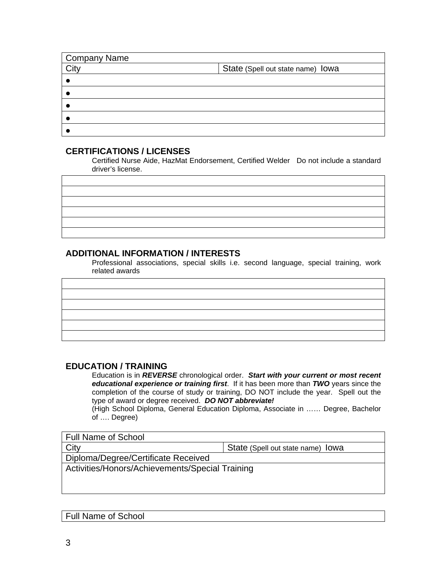| <b>Company Name</b> |                                   |
|---------------------|-----------------------------------|
| City                | State (Spell out state name) lowa |
|                     |                                   |
|                     |                                   |
|                     |                                   |
|                     |                                   |
|                     |                                   |

## **CERTIFICATIONS / LICENSES**

Certified Nurse Aide, HazMat Endorsement, Certified Welder Do not include a standard driver's license.

## **ADDITIONAL INFORMATION / INTERESTS**

Professional associations, special skills i.e. second language, special training, work related awards

#### **EDUCATION / TRAINING**

Education is in *REVERSE* chronological order. *Start with your current or most recent educational experience or training first*. If it has been more than *TWO* years since the completion of the course of study or training, DO NOT include the year. Spell out the type of award or degree received. *DO NOT abbreviate!* 

(High School Diploma, General Education Diploma, Associate in …… Degree, Bachelor of …. Degree)

| <b>Full Name of School</b>                      |                                   |  |  |
|-------------------------------------------------|-----------------------------------|--|--|
| City                                            | State (Spell out state name) lowa |  |  |
| Diploma/Degree/Certificate Received             |                                   |  |  |
| Activities/Honors/Achievements/Special Training |                                   |  |  |
|                                                 |                                   |  |  |
|                                                 |                                   |  |  |

Full Name of School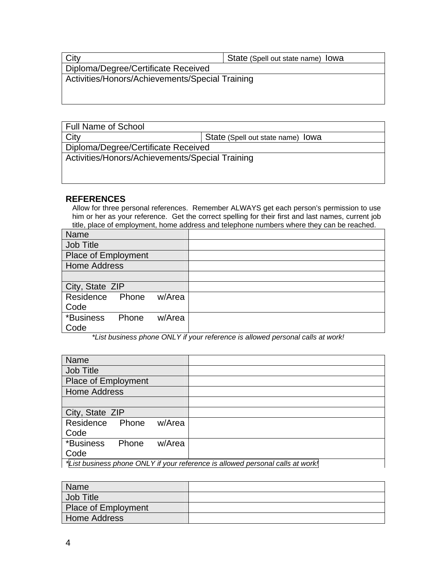| City                                            | State (Spell out state name) lowa |
|-------------------------------------------------|-----------------------------------|
| Diploma/Degree/Certificate Received             |                                   |
| Activities/Honors/Achievements/Special Training |                                   |
|                                                 |                                   |
|                                                 |                                   |

| <b>Full Name of School</b>                      |                                   |  |
|-------------------------------------------------|-----------------------------------|--|
| City                                            | State (Spell out state name) lowa |  |
| Diploma/Degree/Certificate Received             |                                   |  |
| Activities/Honors/Achievements/Special Training |                                   |  |
|                                                 |                                   |  |
|                                                 |                                   |  |

## **REFERENCES**

Allow for three personal references. Remember ALWAYS get each person's permission to use him or her as your reference. Get the correct spelling for their first and last names, current job title, place of employment, home address and telephone numbers where they can be reached.

| Name                |       |        |  |
|---------------------|-------|--------|--|
| Job Title           |       |        |  |
| Place of Employment |       |        |  |
| <b>Home Address</b> |       |        |  |
|                     |       |        |  |
| City, State ZIP     |       |        |  |
| Residence           | Phone | w/Area |  |
| Code                |       |        |  |
| *Business           | Phone | w/Area |  |
| Code                |       |        |  |

*\*List business phone ONLY if your reference is allowed personal calls at work!* 

| <b>Name</b>                                                                    |       |        |  |  |
|--------------------------------------------------------------------------------|-------|--------|--|--|
| Job Title                                                                      |       |        |  |  |
| <b>Place of Employment</b>                                                     |       |        |  |  |
| <b>Home Address</b>                                                            |       |        |  |  |
|                                                                                |       |        |  |  |
| City, State ZIP                                                                |       |        |  |  |
| Residence                                                                      | Phone | w/Area |  |  |
| Code                                                                           |       |        |  |  |
| *Business                                                                      | Phone | w/Area |  |  |
| Code                                                                           |       |        |  |  |
| *List business phone ONLY if your reference is allowed personal calls at work! |       |        |  |  |

| Name                |  |
|---------------------|--|
| Job Title           |  |
| Place of Employment |  |
| Home Address        |  |